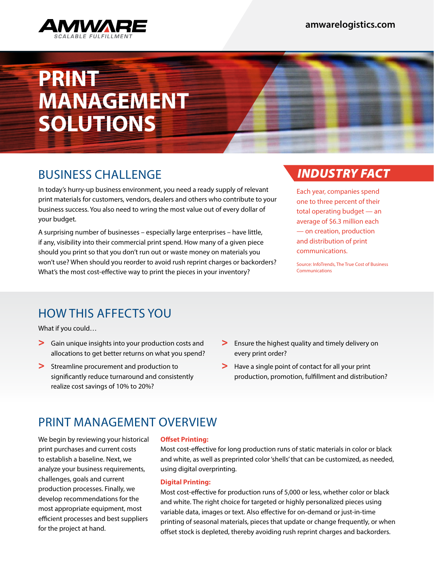

# **PRINT MANAGEMENT SOLUTIONS**

## BUSINESS CHALLENGE

In today's hurry-up business environment, you need a ready supply of relevant print materials for customers, vendors, dealers and others who contribute to your business success. You also need to wring the most value out of every dollar of your budget.

A surprising number of businesses – especially large enterprises – have little, if any, visibility into their commercial print spend. How many of a given piece should you print so that you don't run out or waste money on materials you won't use? When should you reorder to avoid rush reprint charges or backorders? What's the most cost-effective way to print the pieces in your inventory?

### *INDUSTRY FACT*

Each year, companies spend one to three percent of their total operating budget — an average of \$6.3 million each — on creation, production and distribution of print communications.

Source: InfoTrends, The True Cost of Business Communications

### HOW THIS AFFECTS YOU

What if you could…

- > Gain unique insights into your production costs and allocations to get better returns on what you spend?
- > Streamline procurement and production to significantly reduce turnaround and consistently realize cost savings of 10% to 20%?
- > Ensure the highest quality and timely delivery on every print order?
- > Have a single point of contact for all your print production, promotion, fulfillment and distribution?

### PRINT MANAGEMENT OVERVIEW

We begin by reviewing your historical print purchases and current costs to establish a baseline. Next, we analyze your business requirements, challenges, goals and current production processes. Finally, we develop recommendations for the most appropriate equipment, most efficient processes and best suppliers for the project at hand.

#### **Offset Printing:**

Most cost-effective for long production runs of static materials in color or black and white, as well as preprinted color 'shells' that can be customized, as needed, using digital overprinting.

#### **Digital Printing:**

Most cost-effective for production runs of 5,000 or less, whether color or black and white. The right choice for targeted or highly personalized pieces using variable data, images or text. Also effective for on-demand or just-in-time printing of seasonal materials, pieces that update or change frequently, or when offset stock is depleted, thereby avoiding rush reprint charges and backorders.